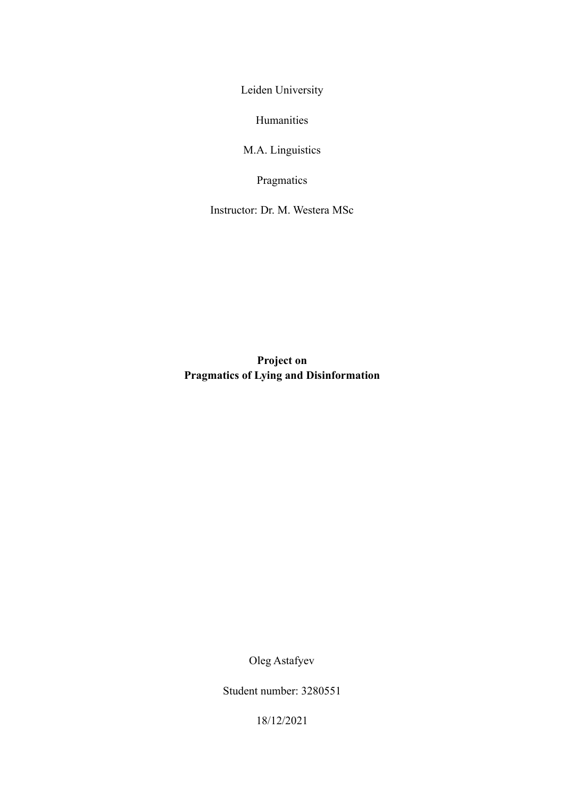Leiden University

Humanities

M.A. Linguistics

Pragmatics

Instructor: Dr. M. Westera MSc

**Project on Pragmatics of Lying and Disinformation**

Oleg Astafyev

Student number: 3280551

18/12/2021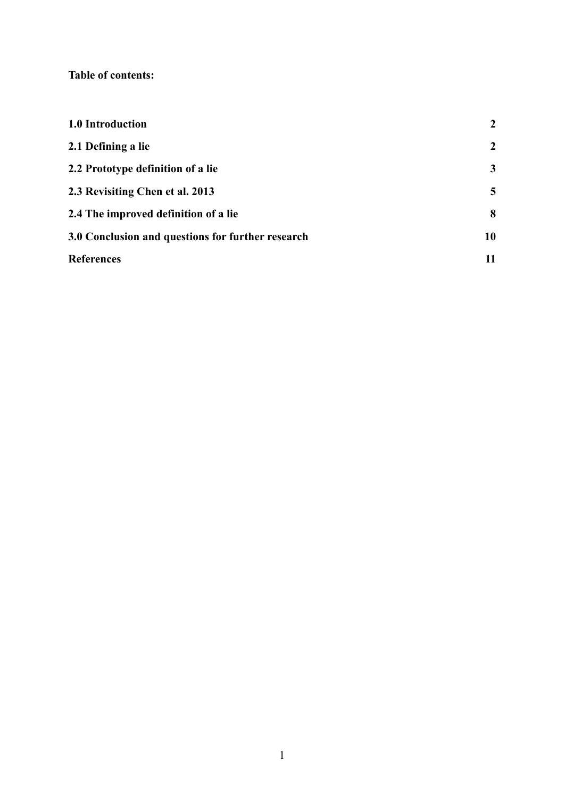# **Table of contents:**

| 1.0 Introduction                                  | $\overline{2}$ |
|---------------------------------------------------|----------------|
| 2.1 Defining a lie                                | $\overline{2}$ |
| 2.2 Prototype definition of a lie                 | 3              |
| 2.3 Revisiting Chen et al. 2013                   | 5              |
| 2.4 The improved definition of a lie              | 8              |
| 3.0 Conclusion and questions for further research | 10             |
| <b>References</b>                                 | 11             |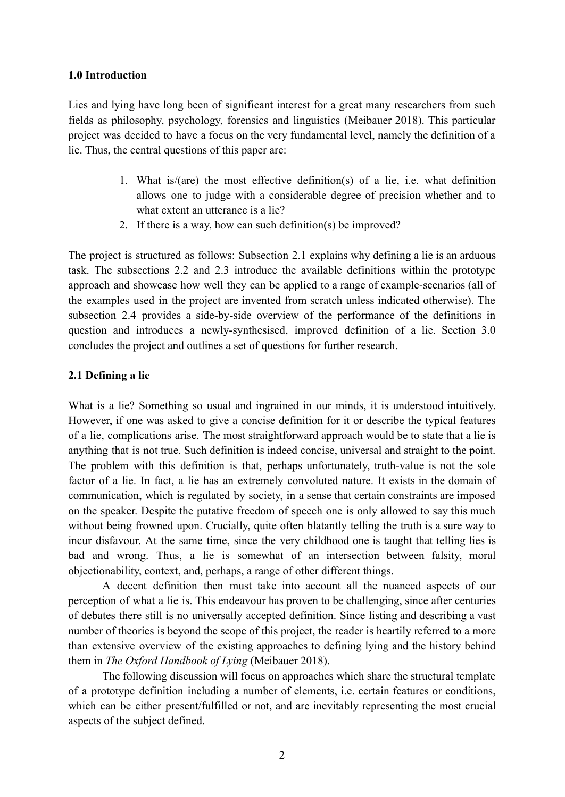### <span id="page-2-0"></span>**1.0 Introduction**

Lies and lying have long been of significant interest for a great many researchers from such fields as philosophy, psychology, forensics and linguistics (Meibauer 2018). This particular project was decided to have a focus on the very fundamental level, namely the definition of a lie. Thus, the central questions of this paper are:

- 1. What is/(are) the most effective definition(s) of a lie, i.e. what definition allows one to judge with a considerable degree of precision whether and to what extent an utterance is a lie?
- 2. If there is a way, how can such definition(s) be improved?

The project is structured as follows: Subsection 2.1 explains why defining a lie is an arduous task. The subsections 2.2 and 2.3 introduce the available definitions within the prototype approach and showcase how well they can be applied to a range of example-scenarios (all of the examples used in the project are invented from scratch unless indicated otherwise). The subsection 2.4 provides a side-by-side overview of the performance of the definitions in question and introduces a newly-synthesised, improved definition of a lie. Section 3.0 concludes the project and outlines a set of questions for further research.

#### <span id="page-2-1"></span>**2.1 Defining a lie**

What is a lie? Something so usual and ingrained in our minds, it is understood intuitively. However, if one was asked to give a concise definition for it or describe the typical features of a lie, complications arise. The most straightforward approach would be to state that a lie is anything that is not true. Such definition is indeed concise, universal and straight to the point. The problem with this definition is that, perhaps unfortunately, truth-value is not the sole factor of a lie. In fact, a lie has an extremely convoluted nature. It exists in the domain of communication, which is regulated by society, in a sense that certain constraints are imposed on the speaker. Despite the putative freedom of speech one is only allowed to say this much without being frowned upon. Crucially, quite often blatantly telling the truth is a sure way to incur disfavour. At the same time, since the very childhood one is taught that telling lies is bad and wrong. Thus, a lie is somewhat of an intersection between falsity, moral objectionability, context, and, perhaps, a range of other different things.

A decent definition then must take into account all the nuanced aspects of our perception of what a lie is. This endeavour has proven to be challenging, since after centuries of debates there still is no universally accepted definition. Since listing and describing a vast number of theories is beyond the scope of this project, the reader is heartily referred to a more than extensive overview of the existing approaches to defining lying and the history behind them in *The Oxford Handbook of Lying* (Meibauer 2018).

The following discussion will focus on approaches which share the structural template of a prototype definition including a number of elements, i.e. certain features or conditions, which can be either present/fulfilled or not, and are inevitably representing the most crucial aspects of the subject defined.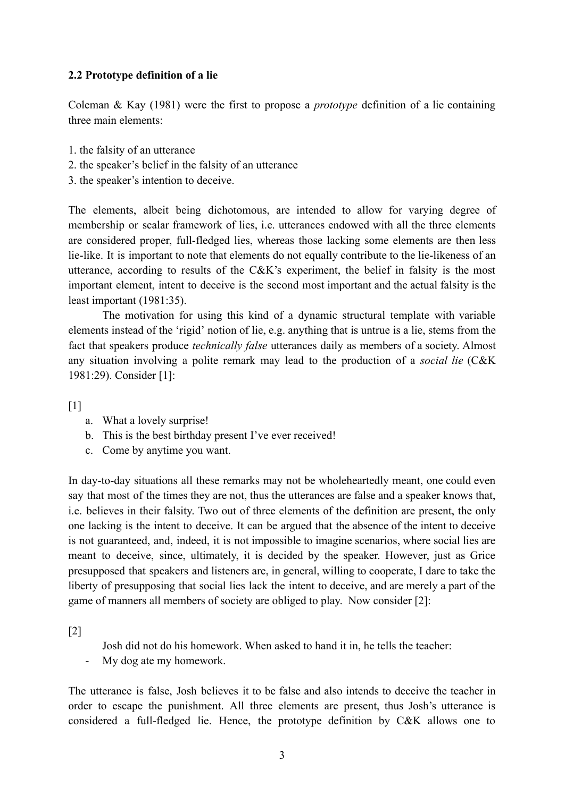## <span id="page-3-0"></span>**2.2 Prototype definition of a lie**

Coleman & Kay (1981) were the first to propose a *prototype* definition of a lie containing three main elements:

- 1. the falsity of an utterance
- 2. the speaker's belief in the falsity of an utterance
- 3. the speaker's intention to deceive.

The elements, albeit being dichotomous, are intended to allow for varying degree of membership or scalar framework of lies, i.e. utterances endowed with all the three elements are considered proper, full-fledged lies, whereas those lacking some elements are then less lie-like. It is important to note that elements do not equally contribute to the lie-likeness of an utterance, according to results of the C&K's experiment, the belief in falsity is the most important element, intent to deceive is the second most important and the actual falsity is the least important (1981:35).

The motivation for using this kind of a dynamic structural template with variable elements instead of the 'rigid' notion of lie, e.g. anything that is untrue is a lie, stems from the fact that speakers produce *technically false* utterances daily as members of a society. Almost any situation involving a polite remark may lead to the production of a *social lie* (C&K 1981:29). Consider [1]:

 $\lceil 1 \rceil$ 

- a. What a lovely surprise!
- b. This is the best birthday present I've ever received!
- c. Come by anytime you want.

In day-to-day situations all these remarks may not be wholeheartedly meant, one could even say that most of the times they are not, thus the utterances are false and a speaker knows that, i.e. believes in their falsity. Two out of three elements of the definition are present, the only one lacking is the intent to deceive. It can be argued that the absence of the intent to deceive is not guaranteed, and, indeed, it is not impossible to imagine scenarios, where social lies are meant to deceive, since, ultimately, it is decided by the speaker. However, just as Grice presupposed that speakers and listeners are, in general, willing to cooperate, I dare to take the liberty of presupposing that social lies lack the intent to deceive, and are merely a part of the game of manners all members of society are obliged to play. Now consider [2]:

[2]

- Josh did not do his homework. When asked to hand it in, he tells the teacher:
- My dog ate my homework.

The utterance is false, Josh believes it to be false and also intends to deceive the teacher in order to escape the punishment. All three elements are present, thus Josh's utterance is considered a full-fledged lie. Hence, the prototype definition by C&K allows one to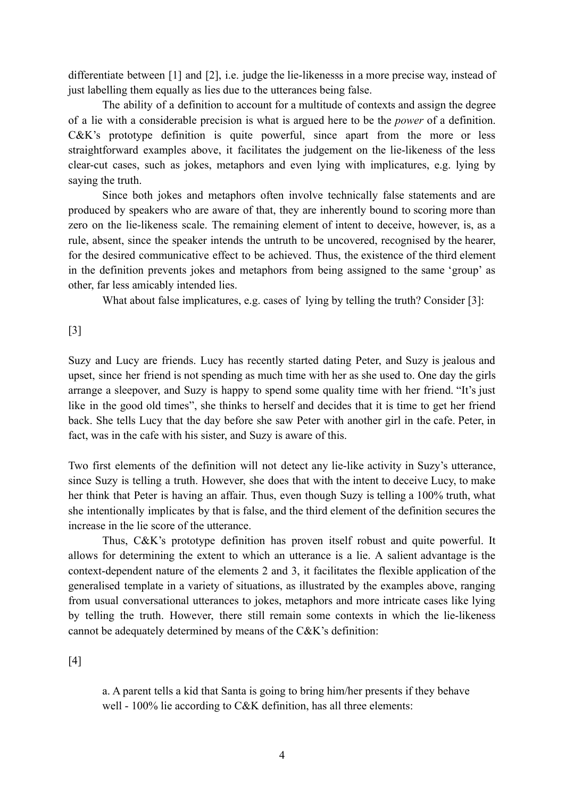differentiate between [1] and [2], i.e. judge the lie-likenesss in a more precise way, instead of just labelling them equally as lies due to the utterances being false.

The ability of a definition to account for a multitude of contexts and assign the degree of a lie with a considerable precision is what is argued here to be the *power* of a definition. C&K's prototype definition is quite powerful, since apart from the more or less straightforward examples above, it facilitates the judgement on the lie-likeness of the less clear-cut cases, such as jokes, metaphors and even lying with implicatures, e.g. lying by saying the truth.

Since both jokes and metaphors often involve technically false statements and are produced by speakers who are aware of that, they are inherently bound to scoring more than zero on the lie-likeness scale. The remaining element of intent to deceive, however, is, as a rule, absent, since the speaker intends the untruth to be uncovered, recognised by the hearer, for the desired communicative effect to be achieved. Thus, the existence of the third element in the definition prevents jokes and metaphors from being assigned to the same 'group' as other, far less amicably intended lies.

What about false implicatures, e.g. cases of lying by telling the truth? Consider [3]:

### [3]

Suzy and Lucy are friends. Lucy has recently started dating Peter, and Suzy is jealous and upset, since her friend is not spending as much time with her as she used to. One day the girls arrange a sleepover, and Suzy is happy to spend some quality time with her friend. "It's just like in the good old times", she thinks to herself and decides that it is time to get her friend back. She tells Lucy that the day before she saw Peter with another girl in the cafe. Peter, in fact, was in the cafe with his sister, and Suzy is aware of this.

Two first elements of the definition will not detect any lie-like activity in Suzy's utterance, since Suzy is telling a truth. However, she does that with the intent to deceive Lucy, to make her think that Peter is having an affair. Thus, even though Suzy is telling a 100% truth, what she intentionally implicates by that is false, and the third element of the definition secures the increase in the lie score of the utterance.

Thus, C&K's prototype definition has proven itself robust and quite powerful. It allows for determining the extent to which an utterance is a lie. A salient advantage is the context-dependent nature of the elements 2 and 3, it facilitates the flexible application of the generalised template in a variety of situations, as illustrated by the examples above, ranging from usual conversational utterances to jokes, metaphors and more intricate cases like lying by telling the truth. However, there still remain some contexts in which the lie-likeness cannot be adequately determined by means of the C&K's definition:

### [4]

a. A parent tells a kid that Santa is going to bring him/her presents if they behave well - 100% lie according to C&K definition, has all three elements: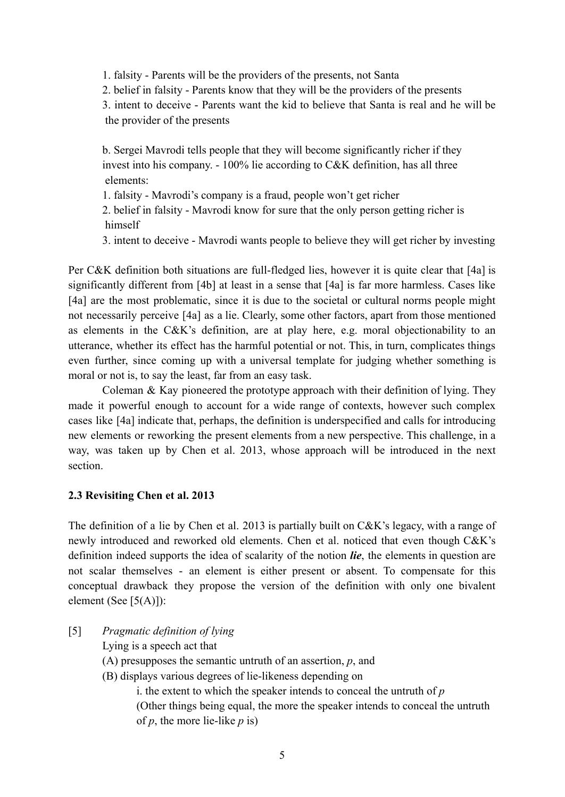1. falsity - Parents will be the providers of the presents, not Santa

2. belief in falsity - Parents know that they will be the providers of the presents

3. intent to deceive - Parents want the kid to believe that Santa is real and he will be the provider of the presents

b. Sergei Mavrodi tells people that they will become significantly richer if they invest into his company. - 100% lie according to C&K definition, has all three elements:

1. falsity - Mavrodi's company is a fraud, people won't get richer

2. belief in falsity - Mavrodi know for sure that the only person getting richer is himself

3. intent to deceive - Mavrodi wants people to believe they will get richer by investing

Per C&K definition both situations are full-fledged lies, however it is quite clear that [4a] is significantly different from [4b] at least in a sense that [4a] is far more harmless. Cases like [4a] are the most problematic, since it is due to the societal or cultural norms people might not necessarily perceive [4a] as a lie. Clearly, some other factors, apart from those mentioned as elements in the C&K's definition, are at play here, e.g. moral objectionability to an utterance, whether its effect has the harmful potential or not. This, in turn, complicates things even further, since coming up with a universal template for judging whether something is moral or not is, to say the least, far from an easy task.

Coleman & Kay pioneered the prototype approach with their definition of lying. They made it powerful enough to account for a wide range of contexts, however such complex cases like [4a] indicate that, perhaps, the definition is underspecified and calls for introducing new elements or reworking the present elements from a new perspective. This challenge, in a way, was taken up by Chen et al. 2013, whose approach will be introduced in the next section.

# <span id="page-5-0"></span>**2.3 Revisiting Chen et al. 2013**

The definition of a lie by Chen et al. 2013 is partially built on C&K's legacy, with a range of newly introduced and reworked old elements. Chen et al. noticed that even though C&K's definition indeed supports the idea of scalarity of the notion *lie*, the elements in question are not scalar themselves - an element is either present or absent. To compensate for this conceptual drawback they propose the version of the definition with only one bivalent element (See [5(A)]):

- [5] *Pragmatic definition of lying*
	- Lying is a speech act that
	- (A) presupposes the semantic untruth of an assertion, *p*, and
	- (B) displays various degrees of lie-likeness depending on

i. the extent to which the speaker intends to conceal the untruth of *p* (Other things being equal, the more the speaker intends to conceal the untruth of *p*, the more lie-like *p* is)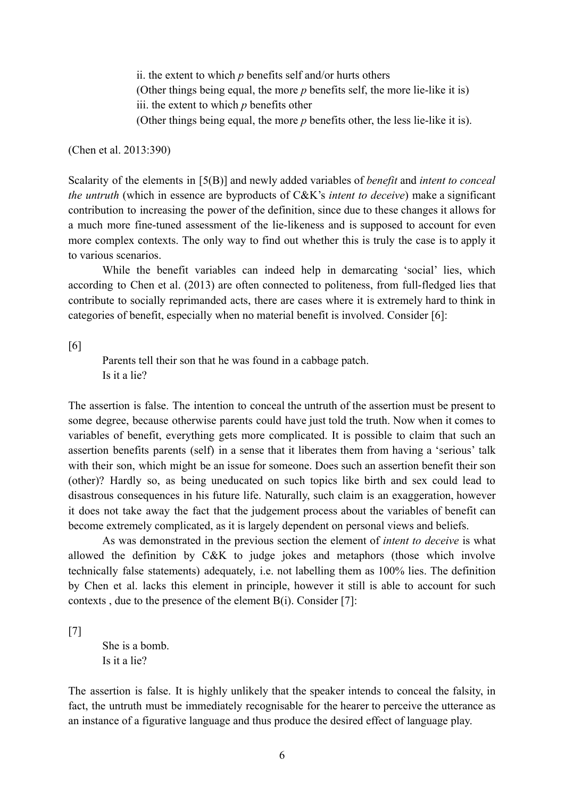ii. the extent to which *p* benefits self and/or hurts others (Other things being equal, the more *p* benefits self, the more lie-like it is) iii. the extent to which *p* benefits other (Other things being equal, the more *p* benefits other, the less lie-like it is).

(Chen et al. 2013:390)

Scalarity of the elements in [5(B)] and newly added variables of *benefit* and *intent to conceal the untruth* (which in essence are byproducts of C&K's *intent to deceive*) make a significant contribution to increasing the power of the definition, since due to these changes it allows for a much more fine-tuned assessment of the lie-likeness and is supposed to account for even more complex contexts. The only way to find out whether this is truly the case is to apply it to various scenarios.

While the benefit variables can indeed help in demarcating 'social' lies, which according to Chen et al. (2013) are often connected to politeness, from full-fledged lies that contribute to socially reprimanded acts, there are cases where it is extremely hard to think in categories of benefit, especially when no material benefit is involved. Consider [6]:

[6]

Parents tell their son that he was found in a cabbage patch. Is it a lie?

The assertion is false. The intention to conceal the untruth of the assertion must be present to some degree, because otherwise parents could have just told the truth. Now when it comes to variables of benefit, everything gets more complicated. It is possible to claim that such an assertion benefits parents (self) in a sense that it liberates them from having a 'serious' talk with their son, which might be an issue for someone. Does such an assertion benefit their son (other)? Hardly so, as being uneducated on such topics like birth and sex could lead to disastrous consequences in his future life. Naturally, such claim is an exaggeration, however it does not take away the fact that the judgement process about the variables of benefit can become extremely complicated, as it is largely dependent on personal views and beliefs.

As was demonstrated in the previous section the element of *intent to deceive* is what allowed the definition by C&K to judge jokes and metaphors (those which involve technically false statements) adequately, i.e. not labelling them as 100% lies. The definition by Chen et al. lacks this element in principle, however it still is able to account for such contexts , due to the presence of the element B(i). Consider [7]:

[7]

She is a bomb. Is it a lie?

The assertion is false. It is highly unlikely that the speaker intends to conceal the falsity, in fact, the untruth must be immediately recognisable for the hearer to perceive the utterance as an instance of a figurative language and thus produce the desired effect of language play.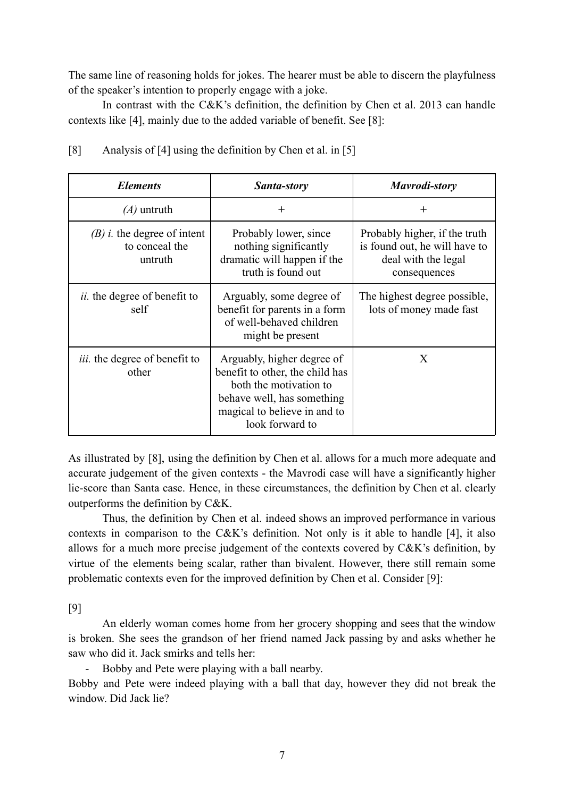The same line of reasoning holds for jokes. The hearer must be able to discern the playfulness of the speaker's intention to properly engage with a joke.

In contrast with the C&K's definition, the definition by Chen et al. 2013 can handle contexts like [4], mainly due to the added variable of benefit. See [8]:

| <b>Elements</b>                                                    | Santa-story                                                                                                                                                              | Mavrodi-story                                                                                         |
|--------------------------------------------------------------------|--------------------------------------------------------------------------------------------------------------------------------------------------------------------------|-------------------------------------------------------------------------------------------------------|
| $(A)$ untruth                                                      | $^{+}$                                                                                                                                                                   | $\pm$                                                                                                 |
| $(B)$ <i>i</i> . the degree of intent<br>to conceal the<br>untruth | Probably lower, since<br>nothing significantly<br>dramatic will happen if the<br>truth is found out                                                                      | Probably higher, if the truth<br>is found out, he will have to<br>deal with the legal<br>consequences |
| <i>ii.</i> the degree of benefit to<br>self                        | Arguably, some degree of<br>benefit for parents in a form<br>of well-behaved children<br>might be present                                                                | The highest degree possible,<br>lots of money made fast                                               |
| <i>iii.</i> the degree of benefit to<br>other                      | Arguably, higher degree of<br>benefit to other, the child has<br>both the motivation to<br>behave well, has something<br>magical to believe in and to<br>look forward to | X                                                                                                     |

|  | [8]<br>Analysis of [4] using the definition by Chen et al. in [5] |  |
|--|-------------------------------------------------------------------|--|
|  |                                                                   |  |
|  |                                                                   |  |
|  |                                                                   |  |

As illustrated by [8], using the definition by Chen et al. allows for a much more adequate and accurate judgement of the given contexts - the Mavrodi case will have a significantly higher lie-score than Santa case. Hence, in these circumstances, the definition by Chen et al. clearly outperforms the definition by C&K.

Thus, the definition by Chen et al. indeed shows an improved performance in various contexts in comparison to the C&K's definition. Not only is it able to handle [4], it also allows for a much more precise judgement of the contexts covered by C&K's definition, by virtue of the elements being scalar, rather than bivalent. However, there still remain some problematic contexts even for the improved definition by Chen et al. Consider [9]:

[9]

An elderly woman comes home from her grocery shopping and sees that the window is broken. She sees the grandson of her friend named Jack passing by and asks whether he saw who did it. Jack smirks and tells her:

- Bobby and Pete were playing with a ball nearby.

Bobby and Pete were indeed playing with a ball that day, however they did not break the window. Did Jack lie?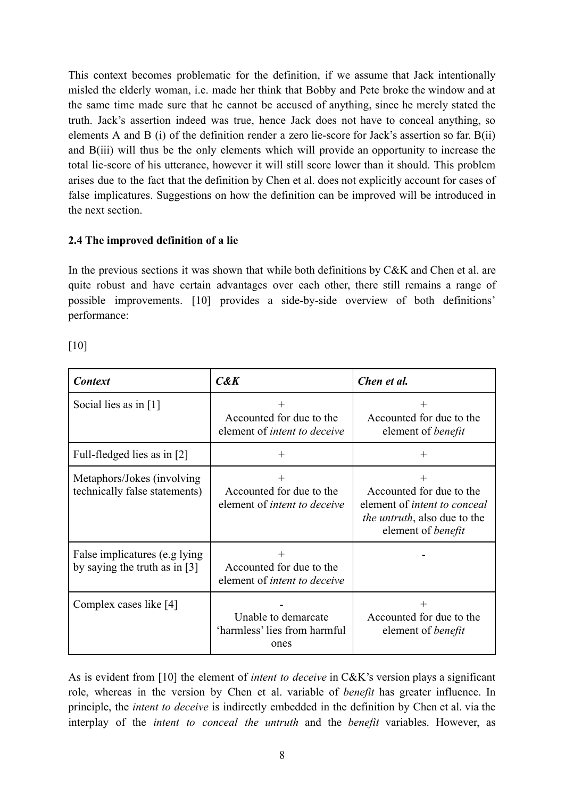This context becomes problematic for the definition, if we assume that Jack intentionally misled the elderly woman, i.e. made her think that Bobby and Pete broke the window and at the same time made sure that he cannot be accused of anything, since he merely stated the truth. Jack's assertion indeed was true, hence Jack does not have to conceal anything, so elements A and B (i) of the definition render a zero lie-score for Jack's assertion so far. B(ii) and B(iii) will thus be the only elements which will provide an opportunity to increase the total lie-score of his utterance, however it will still score lower than it should. This problem arises due to the fact that the definition by Chen et al. does not explicitly account for cases of false implicatures. Suggestions on how the definition can be improved will be introduced in the next section.

# <span id="page-8-0"></span>**2.4 The improved definition of a lie**

In the previous sections it was shown that while both definitions by C&K and Chen et al. are quite robust and have certain advantages over each other, there still remains a range of possible improvements. [10] provides a side-by-side overview of both definitions' performance:

[10]

| <b>Context</b>                                                    | $C\&K$                                                                    | Chen et al.                                                                                                                   |
|-------------------------------------------------------------------|---------------------------------------------------------------------------|-------------------------------------------------------------------------------------------------------------------------------|
| Social lies as in [1]                                             | $\pm$<br>Accounted for due to the<br>element of <i>intent to deceive</i>  | Accounted for due to the<br>element of <i>benefit</i>                                                                         |
| Full-fledged lies as in [2]                                       | $^{+}$                                                                    | $\div$                                                                                                                        |
| Metaphors/Jokes (involving)<br>technically false statements)      | $^{+}$<br>Accounted for due to the<br>element of <i>intent to deceive</i> | Accounted for due to the<br>element of <i>intent to conceal</i><br><i>the untruth</i> , also due to the<br>element of benefit |
| False implicatures (e.g lying)<br>by saying the truth as in $[3]$ | $^{+}$<br>Accounted for due to the<br>element of <i>intent to deceive</i> |                                                                                                                               |
| Complex cases like [4]                                            | Unable to demarcate<br>'harmless' lies from harmful<br>ones               | Accounted for due to the<br>element of <i>benefit</i>                                                                         |

As is evident from [10] the element of *intent to deceive* in C&K's version plays a significant role, whereas in the version by Chen et al. variable of *benefit* has greater influence. In principle, the *intent to deceive* is indirectly embedded in the definition by Chen et al. via the interplay of the *intent to conceal the untruth* and the *benefit* variables. However, as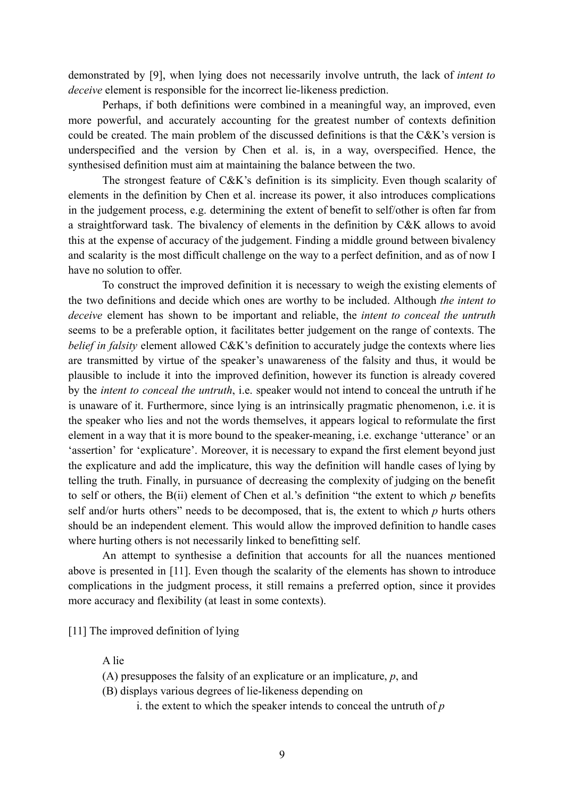demonstrated by [9], when lying does not necessarily involve untruth, the lack of *intent to deceive* element is responsible for the incorrect lie-likeness prediction.

Perhaps, if both definitions were combined in a meaningful way, an improved, even more powerful, and accurately accounting for the greatest number of contexts definition could be created. The main problem of the discussed definitions is that the C&K's version is underspecified and the version by Chen et al. is, in a way, overspecified. Hence, the synthesised definition must aim at maintaining the balance between the two.

The strongest feature of C&K's definition is its simplicity. Even though scalarity of elements in the definition by Chen et al. increase its power, it also introduces complications in the judgement process, e.g. determining the extent of benefit to self/other is often far from a straightforward task. The bivalency of elements in the definition by C&K allows to avoid this at the expense of accuracy of the judgement. Finding a middle ground between bivalency and scalarity is the most difficult challenge on the way to a perfect definition, and as of now I have no solution to offer.

To construct the improved definition it is necessary to weigh the existing elements of the two definitions and decide which ones are worthy to be included. Although *the intent to deceive* element has shown to be important and reliable, the *intent to conceal the untruth* seems to be a preferable option, it facilitates better judgement on the range of contexts. The *belief in falsity* element allowed C&K's definition to accurately judge the contexts where lies are transmitted by virtue of the speaker's unawareness of the falsity and thus, it would be plausible to include it into the improved definition, however its function is already covered by the *intent to conceal the untruth*, i.e. speaker would not intend to conceal the untruth if he is unaware of it. Furthermore, since lying is an intrinsically pragmatic phenomenon, i.e. it is the speaker who lies and not the words themselves, it appears logical to reformulate the first element in a way that it is more bound to the speaker-meaning, i.e. exchange 'utterance' or an 'assertion' for 'explicature'. Moreover, it is necessary to expand the first element beyond just the explicature and add the implicature, this way the definition will handle cases of lying by telling the truth. Finally, in pursuance of decreasing the complexity of judging on the benefit to self or others, the B(ii) element of Chen et al.'s definition "the extent to which *p* benefits self and/or hurts others" needs to be decomposed, that is, the extent to which *p* hurts others should be an independent element. This would allow the improved definition to handle cases where hurting others is not necessarily linked to benefitting self.

An attempt to synthesise a definition that accounts for all the nuances mentioned above is presented in [11]. Even though the scalarity of the elements has shown to introduce complications in the judgment process, it still remains a preferred option, since it provides more accuracy and flexibility (at least in some contexts).

[11] The improved definition of lying

A lie

(A) presupposes the falsity of an explicature or an implicature, *p*, and

(B) displays various degrees of lie-likeness depending on

i. the extent to which the speaker intends to conceal the untruth of *p*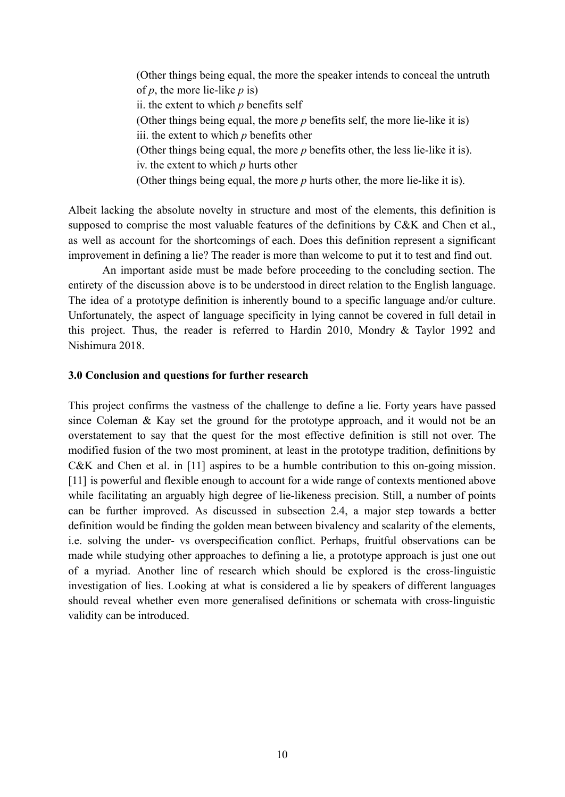(Other things being equal, the more the speaker intends to conceal the untruth of *p*, the more lie-like *p* is) ii. the extent to which *p* benefits self (Other things being equal, the more *p* benefits self, the more lie-like it is) iii. the extent to which *p* benefits other (Other things being equal, the more *p* benefits other, the less lie-like it is). iv. the extent to which *p* hurts other (Other things being equal, the more *p* hurts other, the more lie-like it is).

Albeit lacking the absolute novelty in structure and most of the elements, this definition is supposed to comprise the most valuable features of the definitions by C&K and Chen et al., as well as account for the shortcomings of each. Does this definition represent a significant improvement in defining a lie? The reader is more than welcome to put it to test and find out.

An important aside must be made before proceeding to the concluding section. The entirety of the discussion above is to be understood in direct relation to the English language. The idea of a prototype definition is inherently bound to a specific language and/or culture. Unfortunately, the aspect of language specificity in lying cannot be covered in full detail in this project. Thus, the reader is referred to Hardin 2010, Mondry & Taylor 1992 and Nishimura 2018.

#### <span id="page-10-0"></span>**3.0 Conclusion and questions for further research**

This project confirms the vastness of the challenge to define a lie. Forty years have passed since Coleman & Kay set the ground for the prototype approach, and it would not be an overstatement to say that the quest for the most effective definition is still not over. The modified fusion of the two most prominent, at least in the prototype tradition, definitions by C&K and Chen et al. in [11] aspires to be a humble contribution to this on-going mission. [11] is powerful and flexible enough to account for a wide range of contexts mentioned above while facilitating an arguably high degree of lie-likeness precision. Still, a number of points can be further improved. As discussed in subsection 2.4, a major step towards a better definition would be finding the golden mean between bivalency and scalarity of the elements, i.e. solving the under- vs overspecification conflict. Perhaps, fruitful observations can be made while studying other approaches to defining a lie, a prototype approach is just one out of a myriad. Another line of research which should be explored is the cross-linguistic investigation of lies. Looking at what is considered a lie by speakers of different languages should reveal whether even more generalised definitions or schemata with cross-linguistic validity can be introduced.